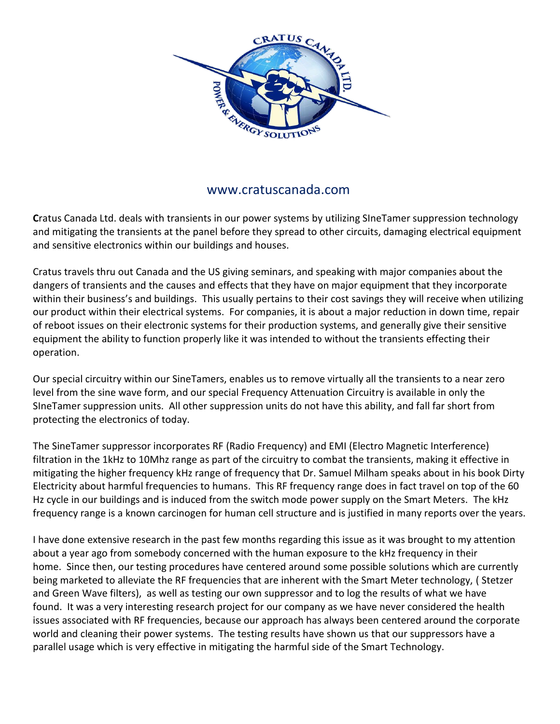

## www.cratuscanada.com

**C**ratus Canada Ltd. deals with transients in our power systems by utilizing SIneTamer suppression technology and mitigating the transients at the panel before they spread to other circuits, damaging electrical equipment and sensitive electronics within our buildings and houses.

Cratus travels thru out Canada and the US giving seminars, and speaking with major companies about the dangers of transients and the causes and effects that they have on major equipment that they incorporate within their business's and buildings. This usually pertains to their cost savings they will receive when utilizing our product within their electrical systems. For companies, it is about a major reduction in down time, repair of reboot issues on their electronic systems for their production systems, and generally give their sensitive equipment the ability to function properly like it was intended to without the transients effecting their operation.

Our special circuitry within our SineTamers, enables us to remove virtually all the transients to a near zero level from the sine wave form, and our special Frequency Attenuation Circuitry is available in only the SIneTamer suppression units. All other suppression units do not have this ability, and fall far short from protecting the electronics of today.

The SineTamer suppressor incorporates RF (Radio Frequency) and EMI (Electro Magnetic Interference) filtration in the 1kHz to 10Mhz range as part of the circuitry to combat the transients, making it effective in mitigating the higher frequency kHz range of frequency that Dr. Samuel Milham speaks about in his book Dirty Electricity about harmful frequencies to humans. This RF frequency range does in fact travel on top of the 60 Hz cycle in our buildings and is induced from the switch mode power supply on the Smart Meters. The kHz frequency range is a known carcinogen for human cell structure and is justified in many reports over the years.

I have done extensive research in the past few months regarding this issue as it was brought to my attention about a year ago from somebody concerned with the human exposure to the kHz frequency in their home. Since then, our testing procedures have centered around some possible solutions which are currently being marketed to alleviate the RF frequencies that are inherent with the Smart Meter technology, ( Stetzer and Green Wave filters), as well as testing our own suppressor and to log the results of what we have found. It was a very interesting research project for our company as we have never considered the health issues associated with RF frequencies, because our approach has always been centered around the corporate world and cleaning their power systems. The testing results have shown us that our suppressors have a parallel usage which is very effective in mitigating the harmful side of the Smart Technology.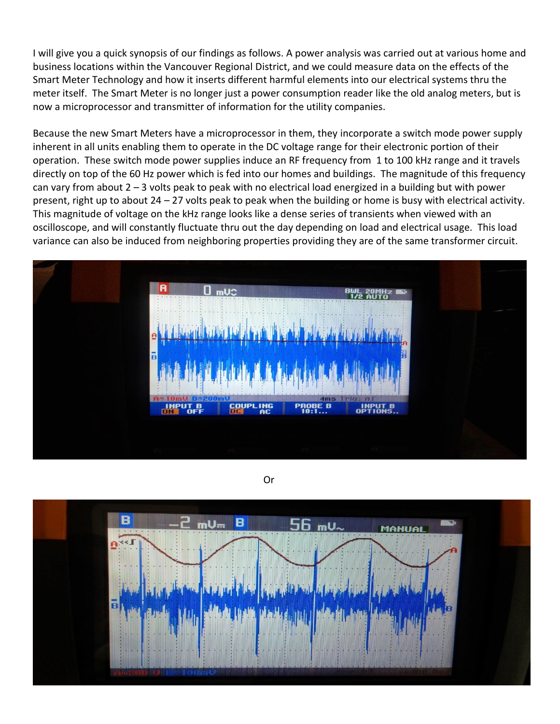I will give you a quick synopsis of our findings as follows. A power analysis was carried out at various home and business locations within the Vancouver Regional District, and we could measure data on the effects of the Smart Meter Technology and how it inserts different harmful elements into our electrical systems thru the meter itself. The Smart Meter is no longer just a power consumption reader like the old analog meters, but is now a microprocessor and transmitter of information for the utility companies.

Because the new Smart Meters have a microprocessor in them, they incorporate a switch mode power supply inherent in all units enabling them to operate in the DC voltage range for their electronic portion of their operation. These switch mode power supplies induce an RF frequency from 1 to 100 kHz range and it travels directly on top of the 60 Hz power which is fed into our homes and buildings. The magnitude of this frequency can vary from about 2 – 3 volts peak to peak with no electrical load energized in a building but with power present, right up to about 24 – 27 volts peak to peak when the building or home is busy with electrical activity. This magnitude of voltage on the kHz range looks like a dense series of transients when viewed with an oscilloscope, and will constantly fluctuate thru out the day depending on load and electrical usage. This load variance can also be induced from neighboring properties providing they are of the same transformer circuit.



Or

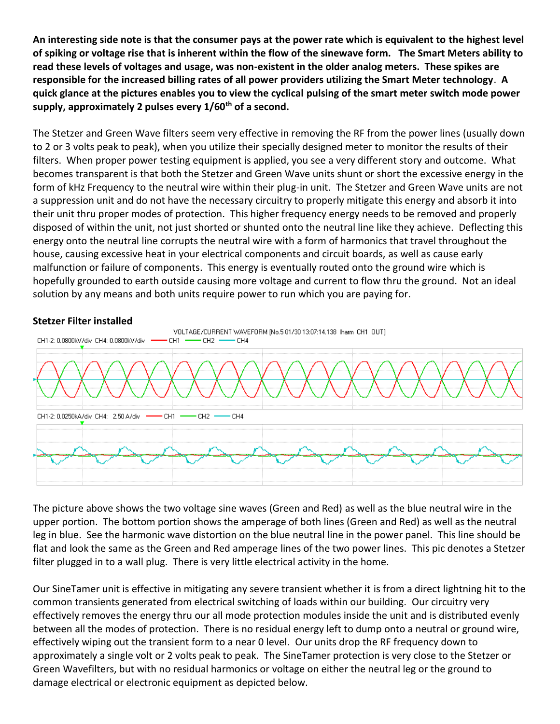**An interesting side note is that the consumer pays at the power rate which is equivalent to the highest level of spiking or voltage rise that is inherent within the flow of the sinewave form. The Smart Meters ability to read these levels of voltages and usage, was non-existent in the older analog meters. These spikes are responsible for the increased billing rates of all power providers utilizing the Smart Meter technology**. **A quick glance at the pictures enables you to view the cyclical pulsing of the smart meter switch mode power supply, approximately 2 pulses every 1/60th of a second.**

The Stetzer and Green Wave filters seem very effective in removing the RF from the power lines (usually down to 2 or 3 volts peak to peak), when you utilize their specially designed meter to monitor the results of their filters. When proper power testing equipment is applied, you see a very different story and outcome. What becomes transparent is that both the Stetzer and Green Wave units shunt or short the excessive energy in the form of kHz Frequency to the neutral wire within their plug-in unit. The Stetzer and Green Wave units are not a suppression unit and do not have the necessary circuitry to properly mitigate this energy and absorb it into their unit thru proper modes of protection. This higher frequency energy needs to be removed and properly disposed of within the unit, not just shorted or shunted onto the neutral line like they achieve. Deflecting this energy onto the neutral line corrupts the neutral wire with a form of harmonics that travel throughout the house, causing excessive heat in your electrical components and circuit boards, as well as cause early malfunction or failure of components. This energy is eventually routed onto the ground wire which is hopefully grounded to earth outside causing more voltage and current to flow thru the ground. Not an ideal solution by any means and both units require power to run which you are paying for.

## **Stetzer Filter installed**



The picture above shows the two voltage sine waves (Green and Red) as well as the blue neutral wire in the upper portion. The bottom portion shows the amperage of both lines (Green and Red) as well as the neutral leg in blue. See the harmonic wave distortion on the blue neutral line in the power panel. This line should be flat and look the same as the Green and Red amperage lines of the two power lines. This pic denotes a Stetzer filter plugged in to a wall plug. There is very little electrical activity in the home.

Our SineTamer unit is effective in mitigating any severe transient whether it is from a direct lightning hit to the common transients generated from electrical switching of loads within our building. Our circuitry very effectively removes the energy thru our all mode protection modules inside the unit and is distributed evenly between all the modes of protection. There is no residual energy left to dump onto a neutral or ground wire, effectively wiping out the transient form to a near 0 level. Our units drop the RF frequency down to approximately a single volt or 2 volts peak to peak. The SineTamer protection is very close to the Stetzer or Green Wavefilters, but with no residual harmonics or voltage on either the neutral leg or the ground to damage electrical or electronic equipment as depicted below.